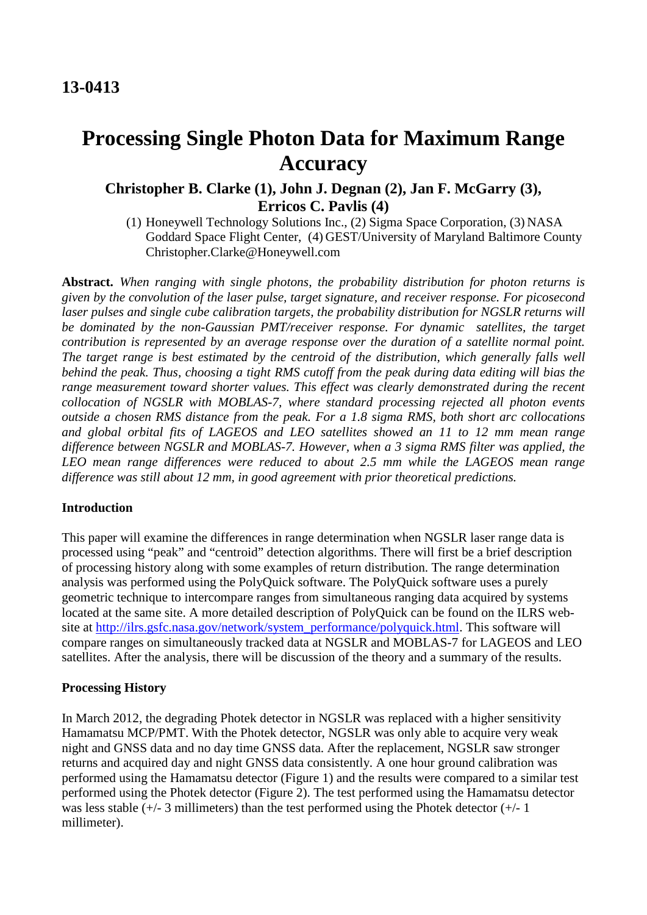# **Processing Single Photon Data for Maximum Range Accuracy**

## **Christopher B. Clarke (1), John J. Degnan (2), Jan F. McGarry (3), Erricos C. Pavlis (4)**

(1) Honeywell Technology Solutions Inc., (2) Sigma Space Corporation, (3) NASA Goddard Space Flight Center, (4) GEST/University of Maryland Baltimore County Christopher.Clarke@Honeywell.com

**Abstract.** *When ranging with single photons, the probability distribution for photon returns is given by the convolution of the laser pulse, target signature, and receiver response. For picosecond laser pulses and single cube calibration targets, the probability distribution for NGSLR returns will be dominated by the non-Gaussian PMT/receiver response. For dynamic satellites, the target contribution is represented by an average response over the duration of a satellite normal point.*  The target range is best estimated by the centroid of the distribution, which generally falls well *behind the peak. Thus, choosing a tight RMS cutoff from the peak during data editing will bias the range measurement toward shorter values. This effect was clearly demonstrated during the recent collocation of NGSLR with MOBLAS-7, where standard processing rejected all photon events outside a chosen RMS distance from the peak. For a 1.8 sigma RMS, both short arc collocations and global orbital fits of LAGEOS and LEO satellites showed an 11 to 12 mm mean range difference between NGSLR and MOBLAS-7. However, when a 3 sigma RMS filter was applied, the LEO mean range differences were reduced to about 2.5 mm while the LAGEOS mean range difference was still about 12 mm, in good agreement with prior theoretical predictions.* 

### **Introduction**

This paper will examine the differences in range determination when NGSLR laser range data is processed using "peak" and "centroid" detection algorithms. There will first be a brief description of processing history along with some examples of return distribution. The range determination analysis was performed using the PolyQuick software. The PolyQuick software uses a purely geometric technique to intercompare ranges from simultaneous ranging data acquired by systems located at the same site. A more detailed description of PolyQuick can be found on the ILRS website at [http://ilrs.gsfc.nasa.gov/network/system\\_performance/polyquick.html.](http://ilrs.gsfc.nasa.gov/network/system_performance/polyquick.html) This software will compare ranges on simultaneously tracked data at NGSLR and MOBLAS-7 for LAGEOS and LEO satellites. After the analysis, there will be discussion of the theory and a summary of the results.

### **Processing History**

In March 2012, the degrading Photek detector in NGSLR was replaced with a higher sensitivity Hamamatsu MCP/PMT. With the Photek detector, NGSLR was only able to acquire very weak night and GNSS data and no day time GNSS data. After the replacement, NGSLR saw stronger returns and acquired day and night GNSS data consistently. A one hour ground calibration was performed using the Hamamatsu detector (Figure 1) and the results were compared to a similar test performed using the Photek detector (Figure 2). The test performed using the Hamamatsu detector was less stable (+/- 3 millimeters) than the test performed using the Photek detector (+/- 1 millimeter).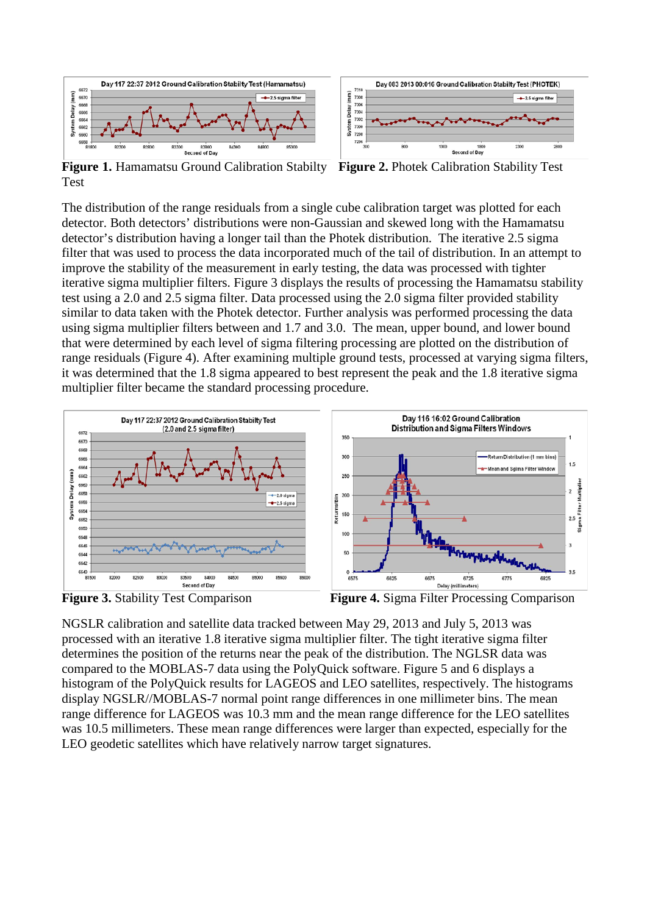

**Figure 1. Hamamatsu Ground Calibration Stabilty** Test **Figure 2.** Photek Calibration Stability Test

The distribution of the range residuals from a single cube calibration target was plotted for each detector. Both detectors' distributions were non-Gaussian and skewed long with the Hamamatsu detector's distribution having a longer tail than the Photek distribution. The iterative 2.5 sigma filter that was used to process the data incorporated much of the tail of distribution. In an attempt to improve the stability of the measurement in early testing, the data was processed with tighter iterative sigma multiplier filters. Figure 3 displays the results of processing the Hamamatsu stability test using a 2.0 and 2.5 sigma filter. Data processed using the 2.0 sigma filter provided stability similar to data taken with the Photek detector. Further analysis was performed processing the data using sigma multiplier filters between and 1.7 and 3.0. The mean, upper bound, and lower bound that were determined by each level of sigma filtering processing are plotted on the distribution of range residuals (Figure 4). After examining multiple ground tests, processed at varying sigma filters, it was determined that the 1.8 sigma appeared to best represent the peak and the 1.8 iterative sigma multiplier filter became the standard processing procedure.



**Figure 3.** Stability Test Comparison **Figure 4.** Sigma Filter Processing Comparison

NGSLR calibration and satellite data tracked between May 29, 2013 and July 5, 2013 was processed with an iterative 1.8 iterative sigma multiplier filter. The tight iterative sigma filter determines the position of the returns near the peak of the distribution. The NGLSR data was compared to the MOBLAS-7 data using the PolyQuick software. Figure 5 and 6 displays a histogram of the PolyQuick results for LAGEOS and LEO satellites, respectively. The histograms display NGSLR//MOBLAS-7 normal point range differences in one millimeter bins. The mean range difference for LAGEOS was 10.3 mm and the mean range difference for the LEO satellites was 10.5 millimeters. These mean range differences were larger than expected, especially for the LEO geodetic satellites which have relatively narrow target signatures.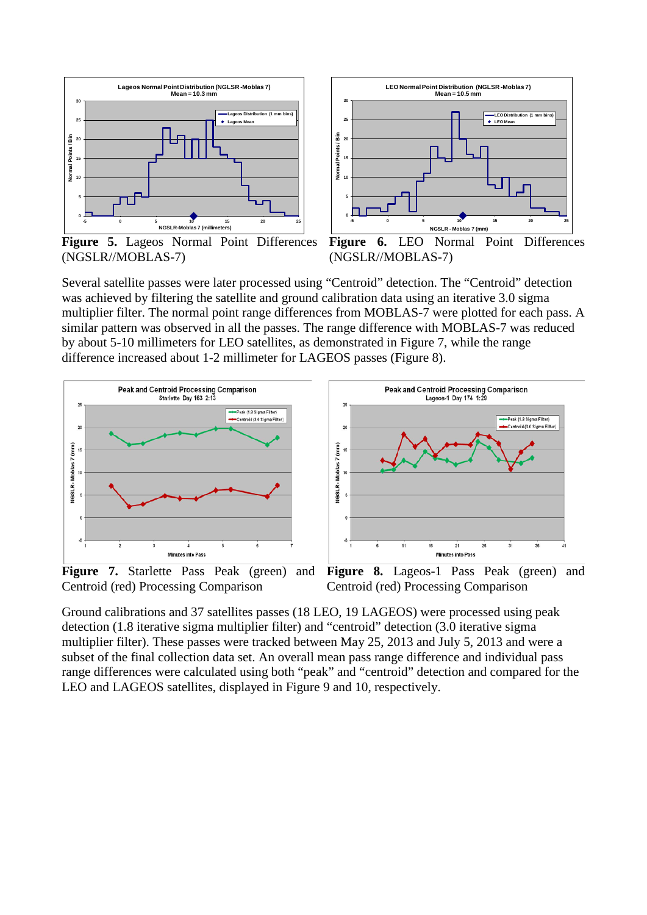



**Figure 5.** Lageos Normal Point Differences (NGSLR//MOBLAS-7)

**Figure 6.** LEO Normal Point Differences (NGSLR//MOBLAS-7)

Several satellite passes were later processed using "Centroid" detection. The "Centroid" detection was achieved by filtering the satellite and ground calibration data using an iterative 3.0 sigma multiplier filter. The normal point range differences from MOBLAS-7 were plotted for each pass. A similar pattern was observed in all the passes. The range difference with MOBLAS-7 was reduced by about 5-10 millimeters for LEO satellites, as demonstrated in Figure 7, while the range difference increased about 1-2 millimeter for LAGEOS passes (Figure 8).



Centroid (red) Processing Comparison

**Figure 7.** Starlette Pass Peak (green) and **Figure 8.** Lageos-1 Pass Peak (green) and Centroid (red) Processing Comparison

Ground calibrations and 37 satellites passes (18 LEO, 19 LAGEOS) were processed using peak detection (1.8 iterative sigma multiplier filter) and "centroid" detection (3.0 iterative sigma multiplier filter). These passes were tracked between May 25, 2013 and July 5, 2013 and were a subset of the final collection data set. An overall mean pass range difference and individual pass range differences were calculated using both "peak" and "centroid" detection and compared for the LEO and LAGEOS satellites, displayed in Figure 9 and 10, respectively.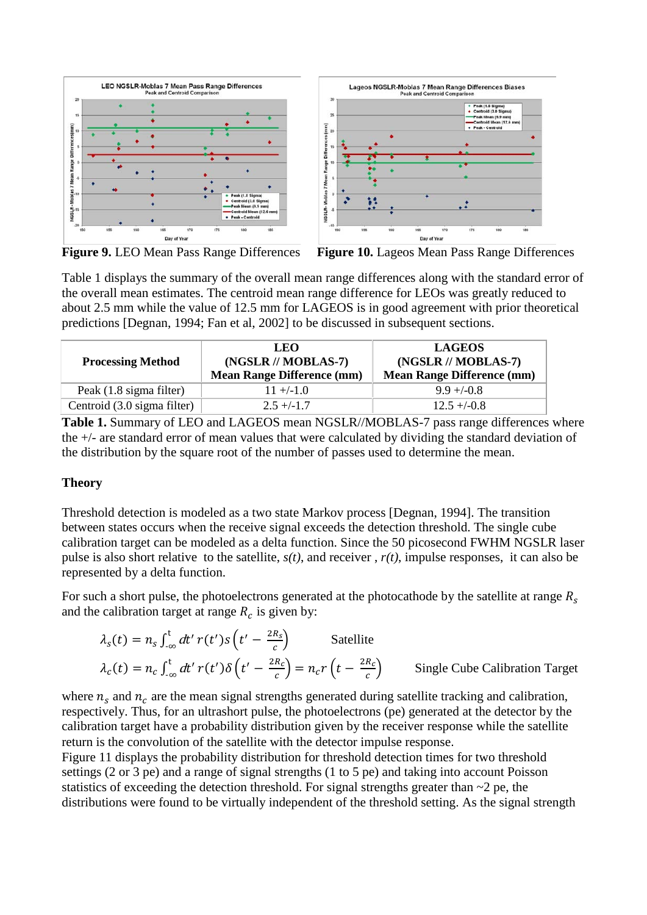



**Figure 9.** LEO Mean Pass Range Differences **Figure 10.** Lageos Mean Pass Range Differences

Table 1 displays the summary of the overall mean range differences along with the standard error of the overall mean estimates. The centroid mean range difference for LEOs was greatly reduced to about 2.5 mm while the value of 12.5 mm for LAGEOS is in good agreement with prior theoretical predictions [Degnan, 1994; Fan et al, 2002] to be discussed in subsequent sections.

| <b>Processing Method</b>    | LEO.<br>(NGSLR // MOBLAS-7)<br><b>Mean Range Difference (mm)</b> | <b>LAGEOS</b><br>(NGSLR // MOBLAS-7)<br><b>Mean Range Difference (mm)</b> |  |
|-----------------------------|------------------------------------------------------------------|---------------------------------------------------------------------------|--|
| Peak (1.8 sigma filter)     | $11 + (-1.0$                                                     | $9.9 + (-0.8$                                                             |  |
| Centroid (3.0 sigma filter) | $2.5 + (-1.7)$                                                   | $12.5 + (-0.8)$                                                           |  |

**Table 1.** Summary of LEO and LAGEOS mean NGSLR//MOBLAS-7 pass range differences where the +/- are standard error of mean values that were calculated by dividing the standard deviation of the distribution by the square root of the number of passes used to determine the mean.

### **Theory**

Threshold detection is modeled as a two state Markov process [Degnan, 1994]. The transition between states occurs when the receive signal exceeds the detection threshold. The single cube calibration target can be modeled as a delta function. Since the 50 picosecond FWHM NGSLR laser pulse is also short relative to the satellite, *s(t)*, and receiver , *r(t)*, impulse responses, it can also be represented by a delta function.

For such a short pulse, the photoelectrons generated at the photocathode by the satellite at range  $R_s$ and the calibration target at range  $R_c$  is given by:

$$
\lambda_{s}(t) = n_{s} \int_{-\infty}^{t} dt' \, r(t') \, s\left(t' - \frac{2R_{s}}{c}\right) \qquad \text{Satellite}
$$
\n
$$
\lambda_{c}(t) = n_{c} \int_{-\infty}^{t} dt' \, r(t') \, \delta\left(t' - \frac{2R_{c}}{c}\right) = n_{c} r\left(t - \frac{2R_{c}}{c}\right) \qquad \text{Single Cube California Target}
$$

where  $n_s$  and  $n_c$  are the mean signal strengths generated during satellite tracking and calibration, respectively. Thus, for an ultrashort pulse, the photoelectrons (pe) generated at the detector by the calibration target have a probability distribution given by the receiver response while the satellite return is the convolution of the satellite with the detector impulse response.

Figure 11 displays the probability distribution for threshold detection times for two threshold settings (2 or 3 pe) and a range of signal strengths (1 to 5 pe) and taking into account Poisson statistics of exceeding the detection threshold. For signal strengths greater than  $\sim$ 2 pe, the distributions were found to be virtually independent of the threshold setting. As the signal strength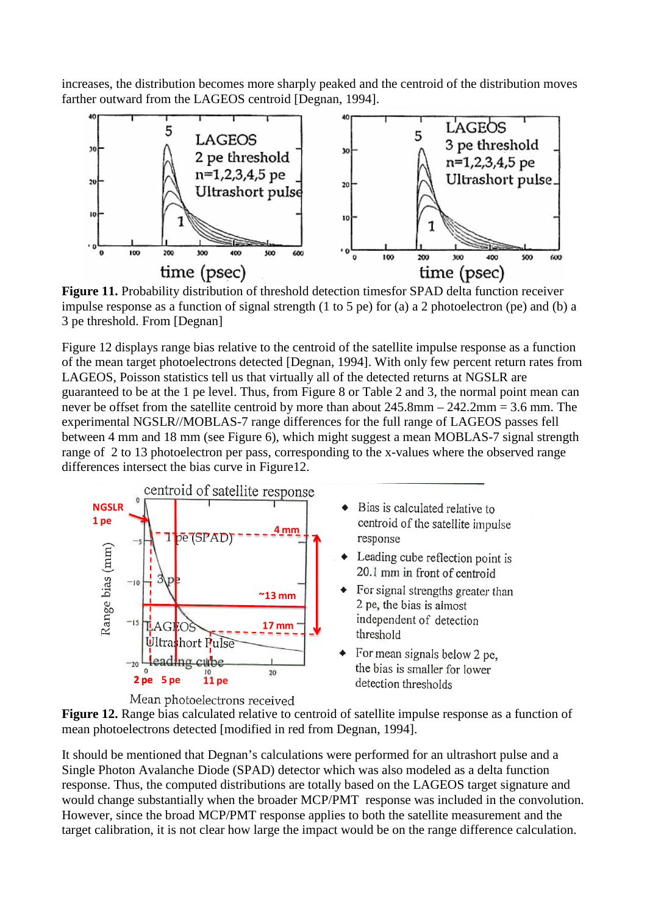increases, the distribution becomes more sharply peaked and the centroid of the distribution moves farther outward from the LAGEOS centroid [Degnan, 1994].



**Figure 11.** Probability distribution of threshold detection timesfor SPAD delta function receiver impulse response as a function of signal strength (1 to 5 pe) for (a) a 2 photoelectron (pe) and (b) a 3 pe threshold. From [Degnan]

Figure 12 displays range bias relative to the centroid of the satellite impulse response as a function of the mean target photoelectrons detected [Degnan, 1994]. With only few percent return rates from LAGEOS, Poisson statistics tell us that virtually all of the detected returns at NGSLR are guaranteed to be at the 1 pe level. Thus, from Figure 8 or Table 2 and 3, the normal point mean can never be offset from the satellite centroid by more than about 245.8mm – 242.2mm = 3.6 mm. The experimental NGSLR//MOBLAS-7 range differences for the full range of LAGEOS passes fell between 4 mm and 18 mm (see Figure 6), which might suggest a mean MOBLAS-7 signal strength range of 2 to 13 photoelectron per pass, corresponding to the x-values where the observed range range of 2 to 13 photoelectron per pass, corresponding to the x-values where the observed range differences intersect the bias curve in Figure12.



- Bias is calculated relative to centroid of the satellite impulse
- Leading cube reflection point is 20.1 mm in front of centroid
- $\triangle$  For signal strengths greater than 2 pe, the bias is almost independent of detection
- $\bullet$  For mean signals below 2 pe, the bias is smaller for lower detection thresholds



It should be mentioned that Degnan's calculations were performed for an ultrashort pulse and a Single Photon Avalanche Diode (SPAD) detector which was also modeled as a delta function response. Thus, the computed distributions are totally based on the LAGEOS target signature and would change substantially when the broader MCP/PMT response was included in the convolution. However, since the broad MCP/PMT response applies to both the satellite measurement and the target calibration, it is not clear how large the impact would be on the range difference calculation.